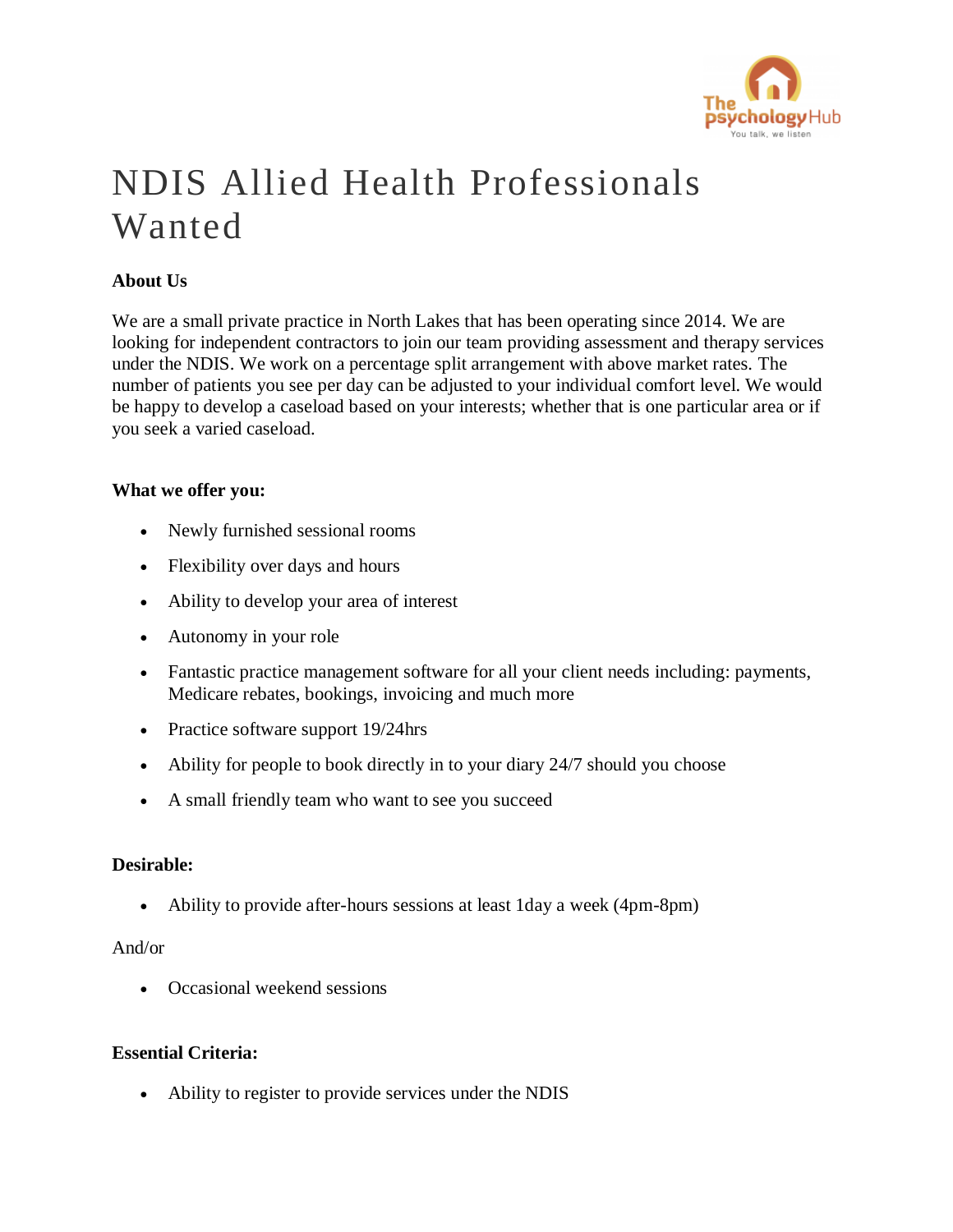

# NDIS Allied Health Professionals Wanted

## **About Us**

We are a small private practice in North Lakes that has been operating since 2014. We are looking for independent contractors to join our team providing assessment and therapy services under the NDIS. We work on a percentage split arrangement with above market rates. The number of patients you see per day can be adjusted to your individual comfort level. We would be happy to develop a caseload based on your interests; whether that is one particular area or if you seek a varied caseload.

#### **What we offer you:**

- Newly furnished sessional rooms
- Flexibility over days and hours
- Ability to develop your area of interest
- Autonomy in your role
- Fantastic practice management software for all your client needs including: payments, Medicare rebates, bookings, invoicing and much more
- Practice software support 19/24hrs
- Ability for people to book directly in to your diary 24/7 should you choose
- A small friendly team who want to see you succeed

## **Desirable:**

• Ability to provide after-hours sessions at least 1day a week (4pm-8pm)

#### And/or

• Occasional weekend sessions

### **Essential Criteria:**

• Ability to register to provide services under the NDIS